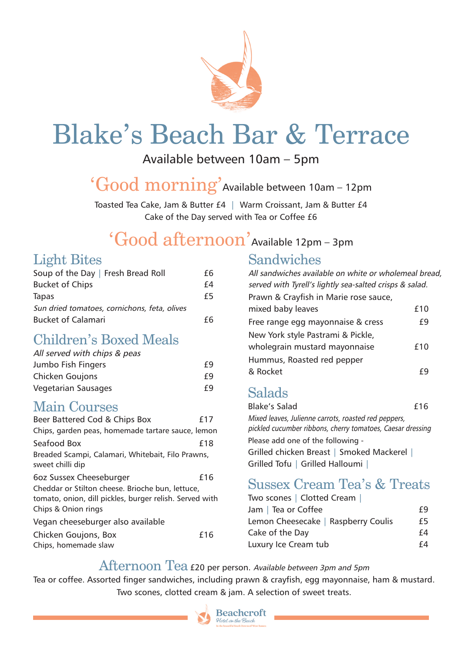

# Blake's Beach Bar & Terrace

Available between 10am – 5pm

'Good morning' Available between 10am – 12pm

Toasted Tea Cake, Jam & Butter £4 | Warm Croissant, Jam & Butter £4 Cake of the Day served with Tea or Coffee £6

# 'Good afternoon' Available 12pm – 3pm

### Light Bites

| Soup of the Day   Fresh Bread Roll           | £б |
|----------------------------------------------|----|
| <b>Bucket of Chips</b>                       | f4 |
| Tapas                                        | £5 |
| Sun dried tomatoes, cornichons, feta, olives |    |
| <b>Bucket of Calamari</b>                    | fĥ |

### Children's Boxed Meals

| All served with chips & peas |    |
|------------------------------|----|
| Jumbo Fish Fingers           | f9 |
| <b>Chicken Goujons</b>       | f9 |
| <b>Vegetarian Sausages</b>   | f9 |

#### Main Courses

| Beer Battered Cod & Chips Box                                                                                                      | f17 |
|------------------------------------------------------------------------------------------------------------------------------------|-----|
| Chips, garden peas, homemade tartare sauce, lemon                                                                                  |     |
| Seafood Box                                                                                                                        | £18 |
| Breaded Scampi, Calamari, Whitebait, Filo Prawns,<br>sweet chilli dip                                                              |     |
| 6oz Sussex Cheeseburger                                                                                                            | £16 |
| Cheddar or Stilton cheese. Brioche bun, lettuce,<br>tomato, onion, dill pickles, burger relish. Served with<br>Chips & Onion rings |     |
| Vegan cheeseburger also available                                                                                                  |     |
| Chicken Goujons, Box<br>Chips, homemade slaw                                                                                       | £16 |

### Sandwiches

| All sandwiches available on white or wholemeal bread,<br>served with Tyrell's lightly sea-salted crisps & salad. |     |
|------------------------------------------------------------------------------------------------------------------|-----|
| Prawn & Crayfish in Marie rose sauce,                                                                            |     |
| mixed baby leaves                                                                                                | £10 |
| Free range egg mayonnaise & cress                                                                                | f9  |
| New York style Pastrami & Pickle,                                                                                |     |
| wholegrain mustard mayonnaise                                                                                    | f10 |
| Hummus, Roasted red pepper                                                                                       |     |
| & Rocket                                                                                                         |     |
|                                                                                                                  |     |

### Salads

| <b>Blake's Salad</b>                                                                                               | f16 |
|--------------------------------------------------------------------------------------------------------------------|-----|
| Mixed leaves, Julienne carrots, roasted red peppers,<br>pickled cucumber ribbons, cherry tomatoes, Caesar dressing |     |
| Please add one of the following -                                                                                  |     |
| Grilled chicken Breast   Smoked Mackerel                                                                           |     |
| Grilled Tofu   Grilled Halloumi                                                                                    |     |

### Sussex Cream Tea's & Treats

| Two scones   Clotted Cream          |    |
|-------------------------------------|----|
| Jam   Tea or Coffee                 | f9 |
| Lemon Cheesecake   Raspberry Coulis | £5 |
| Cake of the Day                     | f4 |
| Luxury Ice Cream tub                | f4 |

#### Afternoon Tea £20 per person. Available between 3pm and 5pm

Tea or coffee. Assorted finger sandwiches, including prawn & crayfish, egg mayonnaise, ham & mustard. Two scones, clotted cream & jam. A selection of sweet treats.